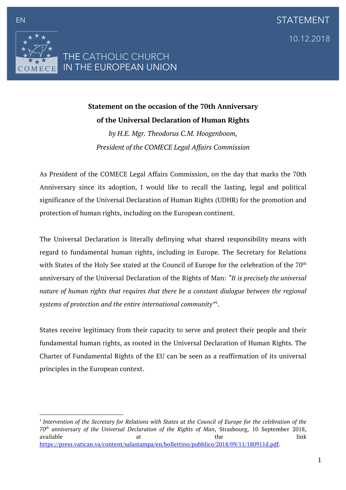

## **Statement on the occasion of the 70th Anniversary of the Universal Declaration of Human Rights**

*by H.E. Mgr. Theodorus C.M. Hoogenboom, President of the COMECE Legal Affairs Commission*

As President of the COMECE Legal Affairs Commission, on the day that marks the 70th Anniversary since its adoption, I would like to recall the lasting, legal and political significance of the Universal Declaration of Human Rights (UDHR) for the promotion and protection of human rights, including on the European continent.

The Universal Declaration is literally definying what shared responsibility means with regard to fundamental human rights, including in Europe. The Secretary for Relations with States of the Holy See stated at the Council of Europe for the celebration of the 70<sup>th</sup> anniversary of the Universal Declaration of the Rights of Man: *"It is precisely the universal nature of human rights that requires that there be a constant dialogue between the regional systems of protection and the entire international community"*<sup>1</sup> .

States receive legitimacy from their capacity to serve and protect their people and their fundamental human rights, as rooted in the Universal Declaration of Human Rights. The Charter of Fundamental Rights of the EU can be seen as a reaffirmation of its universal principles in the European context.

 <sup>1</sup> Intervention of the Secretary for Relations with States at the Council of Europe for the celebration of the *70th anniversary of the Universal Declaration of the Rights of Man*, Strasbourg, 10 September 2018, available and the link of the link of the link of the link of the link of the link of the link of the link of t https://press.vatican.va/content/salastampa/en/bollettino/pubblico/2018/09/11/180911d.pdf.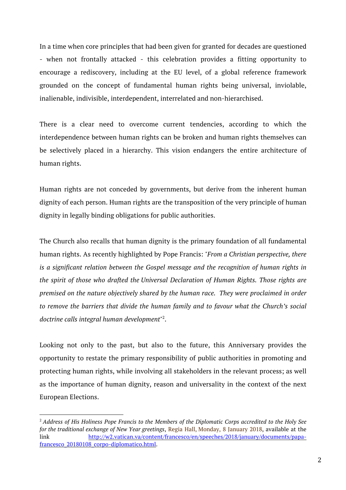In a time when core principles that had been given for granted for decades are questioned - when not frontally attacked - this celebration provides a fitting opportunity to encourage a rediscovery, including at the EU level, of a global reference framework grounded on the concept of fundamental human rights being universal, inviolable, inalienable, indivisible, interdependent, interrelated and non-hierarchised.

There is a clear need to overcome current tendencies, according to which the interdependence between human rights can be broken and human rights themselves can be selectively placed in a hierarchy. This vision endangers the entire architecture of human rights.

Human rights are not conceded by governments, but derive from the inherent human dignity of each person. Human rights are the transposition of the very principle of human dignity in legally binding obligations for public authorities.

The Church also recalls that human dignity is the primary foundation of all fundamental human rights. As recently highlighted by Pope Francis: *"From a Christian perspective, there is a significant relation between the Gospel message and the recognition of human rights in the spirit of those who drafted the Universal Declaration of Human Rights. Those rights are premised on the nature objectively shared by the human race. They were proclaimed in order to remove the barriers that divide the human family and to favour what the Church's social doctrine calls integral human development"* 2 .

Looking not only to the past, but also to the future, this Anniversary provides the opportunity to restate the primary responsibility of public authorities in promoting and protecting human rights, while involving all stakeholders in the relevant process; as well as the importance of human dignity, reason and universality in the context of the next European Elections.

 

<sup>&</sup>lt;sup>2</sup> Address of His Holiness Pope Francis to the Members of the Diplomatic Corps accredited to the Holy See *for the traditional exchange of New Year greetings*, Regia Hall, Monday, 8 January 2018, available at the link http://w2.vatican.va/content/francesco/en/speeches/2018/january/documents/papafrancesco\_20180108\_corpo-diplomatico.html.